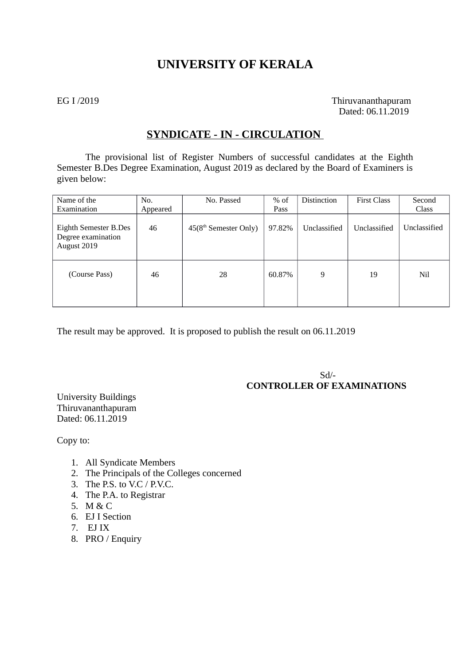# **UNIVERSITY OF KERALA**

EG I /2019 Thiruvananthapuram Dated: 06.11.2019

# **SYNDICATE - IN - CIRCULATION**

The provisional list of Register Numbers of successful candidates at the Eighth Semester B.Des Degree Examination, August 2019 as declared by the Board of Examiners is given below:

| Name of the                                                | No.      | No. Passed                        | $%$ of | Distinction  | <b>First Class</b> | Second       |
|------------------------------------------------------------|----------|-----------------------------------|--------|--------------|--------------------|--------------|
| Examination                                                | Appeared |                                   | Pass   |              |                    | Class        |
| Eighth Semester B.Des<br>Degree examination<br>August 2019 | 46       | 45(8 <sup>th</sup> Semester Only) | 97.82% | Unclassified | Unclassified       | Unclassified |
| (Course Pass)                                              | 46       | 28                                | 60.87% | 9            | 19                 | Nil          |

The result may be approved. It is proposed to publish the result on 06.11.2019

 Sd/-  **CONTROLLER OF EXAMINATIONS**

University Buildings Thiruvananthapuram Dated: 06.11.2019

Copy to:

- 1. All Syndicate Members
- 2. The Principals of the Colleges concerned
- 3. The P.S. to V.C / P.V.C.
- 4. The P.A. to Registrar
- 5. M & C
- 6. EJ I Section
- 7. EJ IX
- 8. PRO / Enquiry